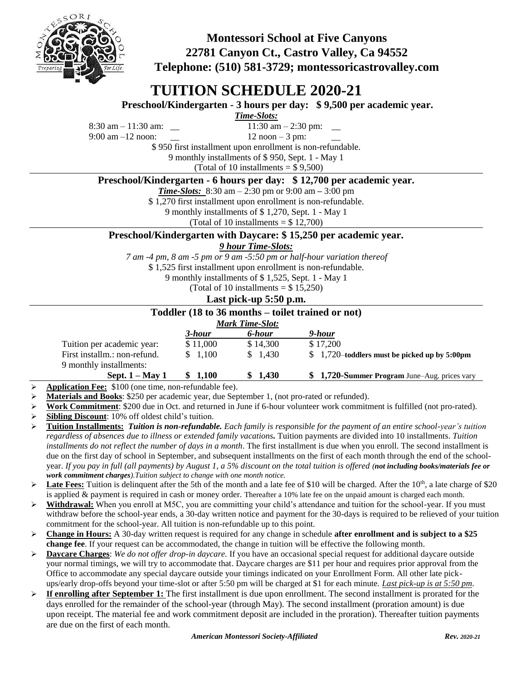

**Montessori School at Five Canyons 22781 Canyon Ct., Castro Valley, Ca 94552 Telephone: (510) 581-3729; montessoricastrovalley.com**

# **TUITION SCHEDULE 2020-21**

**Preschool/Kindergarten - 3 hours per day: \$ 9,500 per academic year.**

*Time-Slots:*

 $8:30 \text{ am} - 11:30 \text{ am}:$   $11:30 \text{ am} - 2:30 \text{ pm}:$ 9:00 am  $-12$  noon:  $12 \text{ noon} - 3 \text{ pm}$ :

\$ 950 first installment upon enrollment is non-refundable.

9 monthly installments of \$ 950, Sept. 1 - May 1

(Total of 10 installments  $= $9,500$ )

**Preschool/Kindergarten - 6 hours per day: \$ 12,700 per academic year.**

*Time-Slots:* 8:30 am – 2:30 pm or 9:00 am **–** 3:00 pm

\$ 1,270 first installment upon enrollment is non-refundable.

9 monthly installments of \$ 1,270, Sept. 1 - May 1

(Total of 10 installments  $= $ 12,700$ )

## **Preschool/Kindergarten with Daycare: \$ 15,250 per academic year.**

## *9 hour Time-Slots:*

*7 am -4 pm, 8 am -5 pm or 9 am -5:50 pm or half-hour variation thereof*

\$ 1,525 first installment upon enrollment is non-refundable.

9 monthly installments of \$ 1,525, Sept. 1 - May 1

(Total of 10 installments  $= $15,250$ )

#### **Last pick-up 5:50 p.m.**

#### **Toddler (18 to 36 months – toilet trained or not)**

|                              |          | <b>Mark Time-Slot:</b> |                                                |
|------------------------------|----------|------------------------|------------------------------------------------|
|                              | 3-hour   | 6-hour                 | 9-hour                                         |
| Tuition per academic year:   | \$11,000 | \$14.300               | \$17.200                                       |
| First installm.: non-refund. | 1.100    | \$1.430                | $$1,720$ -toddlers must be picked up by 5:00pm |
| 9 monthly installments:      |          |                        |                                                |
| Sept. $1 - May 1$            | \$1,100  | \$1,430                | \$1,720-Summer Program June–Aug. prices vary   |

**Application Fee:** \$100 (one time, non-refundable fee).

- **Materials and Books**: \$250 per academic year, due September 1, (not pro-rated or refunded).
- **Work Commitment**: \$200 due in Oct. and returned in June if 6-hour volunteer work commitment is fulfilled (not pro-rated).
- **Sibling Discount**: 10% off oldest child's tuition.
- **Tuition Installments:** *Tuition is non-refundable. Each family is responsible for the payment of an entire school-year's tuition regardless of absences due to illness or extended family vacations.* Tuition payments are divided into 10 installments. *Tuition installments do not reflect the number of days in a month*. The first installment is due when you enroll. The second installment is due on the first day of school in September, and subsequent installments on the first of each month through the end of the schoolyear. *If you pay in full (all payments) by August 1, a 5% discount on the total tuition is offered (not including books/materials fee or work commitment charges).Tuition subject to change with one month notice.*
- $\triangleright$  Late Fees: Tuition is delinquent after the 5th of the month and a late fee of \$10 will be charged. After the 10<sup>th</sup>, a late charge of \$20 is applied & payment is required in cash or money order. Thereafter a 10% late fee on the unpaid amount is charged each month.
- **Withdrawal:** When you enroll at M5C, you are committing your child's attendance and tuition for the school-year. If you must withdraw before the school-year ends, a 30-day written notice and payment for the 30-days is required to be relieved of your tuition commitment for the school-year. All tuition is non-refundable up to this point.
- **Change in Hours:** A 30-day written request is required for any change in schedule **after enrollment and is subject to a \$25 change fee**. If your request can be accommodated, the change in tuition will be effective the following month.
- **Daycare Charges**: *We do not offer drop-in daycare.* If you have an occasional special request for additional daycare outside your normal timings, we will try to accommodate that. Daycare charges are \$11 per hour and requires prior approval from the Office to accommodate any special daycare outside your timings indicated on your Enrollment Form. All other late pickups/early drop-offs beyond your time-slot or after 5:50 pm will be charged at \$1 for each minute. *Last pick-up is at 5:50 pm*.
- **If enrolling after September 1:** The first installment is due upon enrollment. The second installment is prorated for the days enrolled for the remainder of the school-year (through May). The second installment (proration amount) is due upon receipt. The material fee and work commitment deposit are included in the proration). Thereafter tuition payments are due on the first of each month.